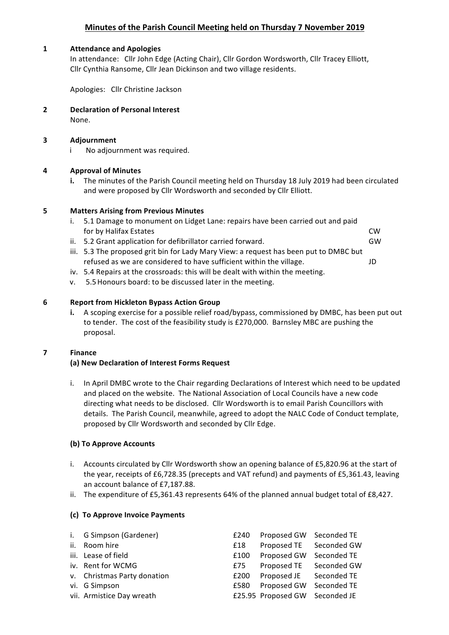# **Minutes of the Parish Council Meeting held on Thursday 7 November 2019**

### **1 Attendance and Apologies**

In attendance: Cllr John Edge (Acting Chair), Cllr Gordon Wordsworth, Cllr Tracey Elliott, Cllr Cynthia Ransome, Cllr Jean Dickinson and two village residents.

Apologies: Cllr Christine Jackson

**2 Declaration of Personal Interest** None.

## **3 Adjournment**

i No adjournment was required.

## **4 Approval of Minutes**

**i.** The minutes of the Parish Council meeting held on Thursday 18 July 2019 had been circulated and were proposed by Cllr Wordsworth and seconded by Cllr Elliott.

## **5 Matters Arising from Previous Minutes**

- i. 5.1 Damage to monument on Lidget Lane: repairs have been carried out and paid for by Halifax Estates **CW CW**
- ii. 5.2 Grant application for defibrillator carried forward. GW

- iii. 5.3 The proposed grit bin for Lady Mary View: a request has been put to DMBC but refused as we are considered to have sufficient within the village. JD
- iv. 5.4 Repairs at the crossroads: this will be dealt with within the meeting.
- v. 5.5 Honours board: to be discussed later in the meeting.

## **6 Report from Hickleton Bypass Action Group**

**i.** A scoping exercise for a possible relief road/bypass, commissioned by DMBC, has been put out to tender. The cost of the feasibility study is £270,000. Barnsley MBC are pushing the proposal.

### **7 Finance**

# **(a) New Declaration of Interest Forms Request**

i. In April DMBC wrote to the Chair regarding Declarations of Interest which need to be updated and placed on the website. The National Association of Local Councils have a new code directing what needs to be disclosed. Cllr Wordsworth is to email Parish Councillors with details. The Parish Council, meanwhile, agreed to adopt the NALC Code of Conduct template, proposed by Cllr Wordsworth and seconded by Cllr Edge.

### **(b) To Approve Accounts**

- i. Accounts circulated by Cllr Wordsworth show an opening balance of £5,820.96 at the start of the year, receipts of £6,728.35 (precepts and VAT refund) and payments of £5,361.43, leaving an account balance of £7.187.88.
- ii. The expenditure of £5,361.43 represents  $64%$  of the planned annual budget total of £8,427.

# **(c) To Approve Invoice Payments**

| i. G Simpson (Gardener)     | £240 | Proposed GW Seconded TE        |             |
|-----------------------------|------|--------------------------------|-------------|
| ii. Room hire               | £18  | Proposed TE Seconded GW        |             |
| iii. Lease of field         | £100 | Proposed GW                    | Seconded TE |
| iv. Rent for WCMG           | £75  | Proposed TE Seconded GW        |             |
| v. Christmas Party donation | £200 | Proposed JE                    | Seconded TE |
| vi. G Simpson               | £580 | Proposed GW                    | Seconded TE |
| vii. Armistice Day wreath   |      | £25.95 Proposed GW Seconded JE |             |